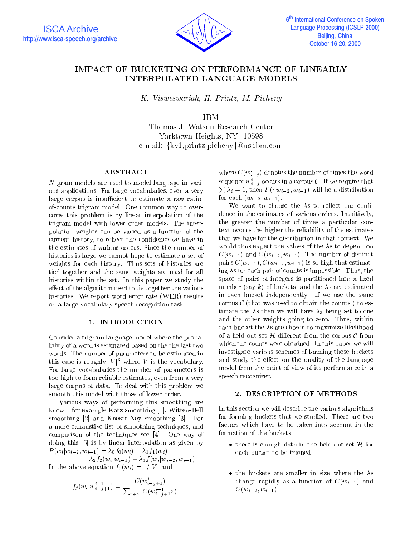

# **IMPACT OF BUCKETING ON PERFORMANCE OF LINEARLY**

K. Visweswariah, H. Printz, M. Picheny

IBM

Yorktown Heights, NY <sup>10598</sup> e-mail: {kv1,printz,picheny}@us.ibm.com

# ABSTRACT

N-gram models are used to model language in various applications. For large vocabularies, even a very large corpus is insufficient to estimate a raw ratioof-counts trigram model. One common way to overcome this problem is by linear interpolation of the trigram model with lower order models. The interpolation weights can be varied as a function of the current history, to reflect the confidence we have in the estimates of various orders. Since the number of histories is large we cannot hope to estimate a set of weights for each history. Thus sets of histories are tied together and the same weights are used for all histories within the set. In this paper we study the effect of the algorithm used to tie together the various histories. We report word error rate (WER) results on a large-vocabulary speech recognition task.

#### 1. INTRODUCTION

Consider a trigram language model where the probability of a word is estimated based on the the last two words. The number of parameters to be estimated in this case is roughly  $|V|^3$  where V is the vocabulary. For large vocabularies the number of parameters is too high to form reliable estimates, even from a very large corpus of data. To deal with this problem we smooth this model with those of lower order.

Various ways of performing this smoothing are known; for example Katz smoothing [1], Witten-Bell smoothing [2] and Kneser-Ney smoothing [3]. For a more exhaustive list of smoothing techniques, and comparison of the techniques see [4]. One way of doing this [5] is by linear interpolation as given by  $P_i(w_i|w_{i-2}, w_{i-1}) = \lambda_0 f_0(w_i) + \lambda_1 f_1(w_i) + \lambda_2 f_2(w_i)$ 

 $\lambda_2 f_2(w_i | w_{i-1}) + \lambda_3 f(w_i | w_{i-2}, w_{i-1}).$ In the above equation  $f_0(w_i)=1/|V|$  and

$$
f_j(w_i|w_{i-j+1}^{i-1}) = \frac{C(w_{i-j+1}^i)}{\sum_{v \in V} C(w_{i-j+1}^{i-1}v)},
$$

where  $C(w_{i-j})$  denotes the number of times the word sequence  $w_{i,j}$  occurs in a corpus  $C$ . If we require that iji kacamatan ing kacamatan ing kacamatan ing kacamatan ing kacamatan ing kacamatan ing kacamatan ing kacamatan ing kacamatan ing kacamatan ing kacamatan ing kacamatan ing kacamatan ing kacamatan ing kacamatan ing kacamata  $\sum \lambda_i = 1$ , then  $P(|w_{i-2}, w_{i-1})$  will be a distribution for each  $(w_{i-2}, w_{i-1})$ .

We want to choose the  $\lambda$ s to reflect our confidence in the estimates of various orders. Intuitively, the greater the number of times a particular context occurs the higher the reliability of the estimates that we have for the distribution in that context. We would thus expect the values of the  $\lambda$ s to depend on  $C(w_{i-1})$  and  $C(w_{i-2}, w_{i-1})$ . The number of distinct pairs  $C(w_{i-1}), C(w_{i-2}, w_{i-1})$  is so high that estimating  $\lambda$ s for each pair of counts is impossible. Thus, the space of pairs of integers is partitioned into a fixed number (say k) of buckets, and the  $\lambda$ s are estimated in each bucket independently. If we use the same corpus  $\mathcal C$  (that was used to obtain the counts) to estimate the  $\lambda$ s then we will have  $\lambda_3$  being set to one and the other weights going to zero. Thus, within each bucket the  $\lambda s$  are chosen to maximize likelihood of a held out set  $H$  different from the corpus  $C$  from which the counts were obtained. In this paper we will investigate various schemes of forming these buckets and study the effect on the quality of the language model from the point of view of its performance in a speech recognizer.

#### 2. DESCRIPTION OF METHODS

In this section we will describe the various algorithms for forming buckets that we studied. There are two factors which have to be taken into account in the formation of the buckets

- there is enough data in the held-out set  $\mathcal H$  for each bucket to be trained
- the buckets are smaller in size where the  $\lambda$ s change rapidly as a function of  $C(w_{i-1})$  and  $C(w_{i-2}, w_{i-1}).$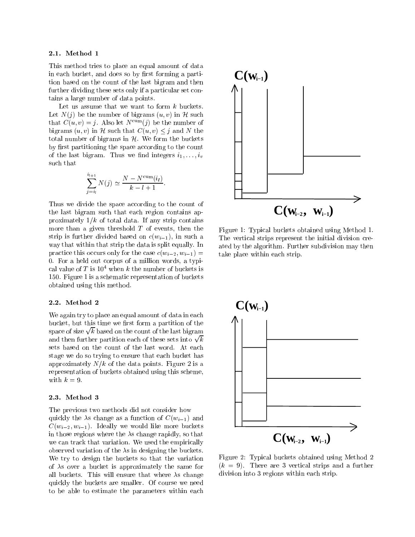#### 2.1. Method 1

This method tries to place an equal amount of data in each bucket, and does so by first forming a partition based on the count of the last bigram and then further dividing these sets only if a particular set contains a large number of data points.

Let us assume that we want to form  $k$  buckets. Let  $N(j)$  be the number of bigrams  $(u, v)$  in H such that  $C(u, v) = j$ . Also let  $N^{\text{cum}}(j)$  be the number of bigrams  $(u, v)$  in H such that  $C(u, v) \leq j$  and N the total number of bigrams in  $H$ . We form the buckets by first partitioning the space according to the count of the last bigram. Thus we find integers  $i_1, \ldots, i_v$ such that

$$
\sum_{j=i_l}^{i_{l+1}} N(j) \simeq \frac{N - N^{\text{cum}}(i_l)}{k - l + 1}.
$$

Thus we divide the space according to the count of the last bigram such that each region contains approximately  $1/k$  of total data. If any strip contains more than a given threshold  $T$  of events, then the strip is further divided based on  $c(w_{i-1})$ , in such a way that within that strip the data is split equally. In practice this occurs only for the case  $c(w_{i-2}, w_{i-1}) =$ 0. For a held out corpus of a million words, a typical value of  $T$  is  $10^4$  when k the number of buckets is 150. Figure 1 is a schematic representation of buckets obtained using this method.

#### 2.2. Method 2

We again try to place an equal amount of data in each bucket, but this time we first form a partition of the space of size  $\sqrt{k}$  based on the count of the last bigram  $\vert \vert$ and then further partition each of these sets into  $\sqrt{k}$ sets based on the count of the last word. At each stage we do so trying to ensure that each bucket has approximately  $N/k$  of the data points. Figure 2 is a representation of buckets obtained using this scheme, with  $k = 9$ .

#### 2.3. Method 3

The previous two methods did not consider how quickly the  $\lambda$ s change as a function of  $C(w_{i-1})$  and  $C(w_{i-2}, w_{i-1})$ . Ideally we would like more buckets in those regions where the  $\lambda$ s change rapidly, so that we can track that variation. We used the empirically observed variation of the  $\lambda$ s in designing the buckets. We try to design the buckets so that the variation of  $\lambda$ s over a bucket is approximately the same for all buckets. This will ensure that where  $\lambda$ s change quickly the buckets are smaller. Of course we need to be able to estimate the parameters within each



Figure 1: Typical buckets obtained using Method 1. The vertical strips represent the initial division created by the algorithm. Further subdivision may then take place within each strip.



Figure 2: Typical buckets obtained using Method 2  $(k = 9)$ . There are 3 vertical strips and a further division into 3 regions within each strip.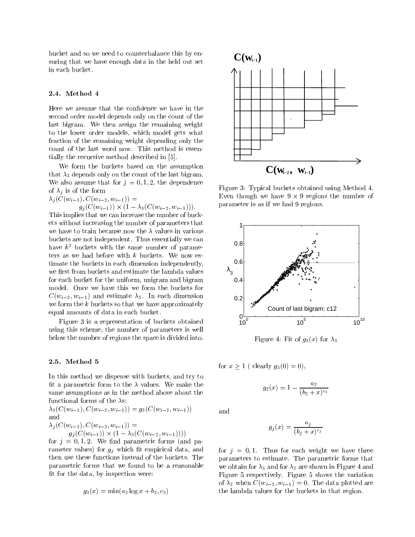bucket and so we need to counterbalance this by ensuring that we have enough data in the held out set in each bucket.

#### 2.4. Method 4

Here we assume that the confidence we have in the second order model depends only on the count of the last bigram. We then assign the remaining weight to the lower order models, which model gets what fraction of the remaining weight depending only the count of the last word now. This method is essentially the recursive method described in [5].

We form the buckets based on the assumption that  $\lambda_3$  depends only on the count of the last bigram. We also assume that for  $j = 0, 1, 2$ , the dependence of  $\lambda_i$  is of the form

 $\lambda_j(C(w_{i-1}), C(w_{i-2}, w_{i-1})) =$  $g_i(\cup (w_{i-1})) \wedge (1 - \lambda_3(\cup (w_{i-2}, w_{i-1})))$ 

This implies that we can increase the number of buckets without increasing the number of parameters that we have to train because now the  $\lambda$  values in various buckets are not independent. Thus essentially we can have  $k^2$  buckets with the same number of parameters as we had before with  $k$  buckets. We now estimate the buckets in each dimension independently, we first from buckets and estimate the lambda values for each bucket for the uniform, unigram and bigram model. Once we have this we form the buckets for  $C(w_{i-2}, w_{i-1})$  and estimate  $\lambda_3$ . In each dimension we form the  $k$  buckets so that we have approximately equal amounts of data in each bucket.

Figure 3 is a representation of buckets obtained using this scheme, the number of parameters is well below the number of regions the space is divided into.

#### 2.5. Method 5

In this method we dispense with buckets, and try to fit a parametric form to the  $\lambda$  values. We make the same assumptions as in the method above about the functional forms of the  $\lambda$ s:

 $\lambda_3(C(w_{i-1}), C(w_{i-2}, w_{i-1})) = g_3(C(w_{i-2}, w_{i-1}))$ and  $\lambda_j(C(w_{i-1}), C(w_{i-2}, w_{i-1})) =$  $g_i (C(w_{i-1}) \wedge (1 - \lambda_3) (C(w_{i-2}, w_{i-1})))$ 

for  $j = 0, 1, 2$ . We find parametric forms (and parameter values) for  $g_j$  which fit empirical data, and then use these functions instead of the buckets. The parametric forms that we found to be a reasonable fit for the data, by inspection were:

$$
g_3(x) = \min(a_3 \log x + b_3, c_3)
$$



Figure 3: Typical buckets obtained using Method 4. Even though we have 9 - 9 regions the number of parameter is as if we had 9 regions.



Figure 4: Fit of  $g_3(x)$  for  $\lambda_3$ 

for  $x \ge 1$  ( clearly  $g_3(0) = 0$ ),

$$
g_2(x) = 1 - \frac{a_2}{(b_2 + x)^{c_2}}
$$

and

$$
g_j(x)=\frac{a_j}{(b_j+x)^{c_j}}
$$

for  $j = 0, 1$ . Thus for each weight we have three parameters to estimate. The parametric forms that we obtain for  $\lambda_3$  and for  $\lambda_2$  are shown in Figure 4 and Figure 5 respectively. Figure 5 shows the variation of  $\lambda_2$  when  $C(w_{i-2}, w_{i-1}) = 0$ . The data plotted are the lambda values for the buckets in that region.